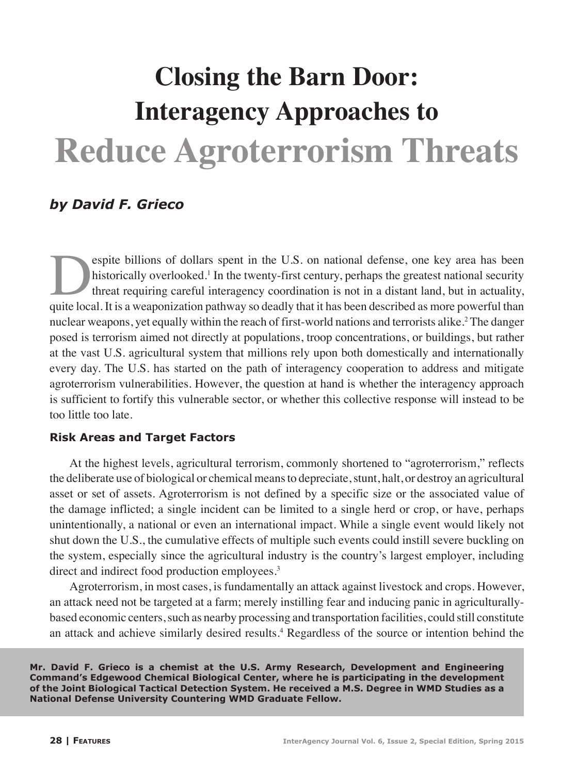# **Closing the Barn Door: Interagency Approaches to Reduce Agroterrorism Threats**

## *by David F. Grieco*

espite billions of dollars spent in the U.S. on national defense, one key area has been<br>historically overlooked.<sup>1</sup> In the twenty-first century, perhaps the greatest national security<br>threat requiring careful interagency c historically overlooked.<sup>1</sup> In the twenty-first century, perhaps the greatest national security threat requiring careful interagency coordination is not in a distant land, but in actuality, quite local. It is a weaponization pathway so deadly that it has been described as more powerful than nuclear weapons, yet equally within the reach of first-world nations and terrorists alike.<sup>2</sup> The danger posed is terrorism aimed not directly at populations, troop concentrations, or buildings, but rather at the vast U.S. agricultural system that millions rely upon both domestically and internationally every day. The U.S. has started on the path of interagency cooperation to address and mitigate agroterrorism vulnerabilities. However, the question at hand is whether the interagency approach is sufficient to fortify this vulnerable sector, or whether this collective response will instead to be too little too late.

### **Risk Areas and Target Factors**

At the highest levels, agricultural terrorism, commonly shortened to "agroterrorism," reflects the deliberate use of biological or chemical means to depreciate, stunt, halt, or destroy an agricultural asset or set of assets. Agroterrorism is not defined by a specific size or the associated value of the damage inflicted; a single incident can be limited to a single herd or crop, or have, perhaps unintentionally, a national or even an international impact. While a single event would likely not shut down the U.S., the cumulative effects of multiple such events could instill severe buckling on the system, especially since the agricultural industry is the country's largest employer, including direct and indirect food production employees.<sup>3</sup>

Agroterrorism, in most cases, is fundamentally an attack against livestock and crops. However, an attack need not be targeted at a farm; merely instilling fear and inducing panic in agriculturallybased economic centers, such as nearby processing and transportation facilities, could still constitute an attack and achieve similarly desired results.<sup>4</sup> Regardless of the source or intention behind the

**Mr. David F. Grieco is a chemist at the U.S. Army Research, Development and Engineering Command's Edgewood Chemical Biological Center, where he is participating in the development of the Joint Biological Tactical Detection System. He received a M.S. Degree in WMD Studies as a National Defense University Countering WMD Graduate Fellow.**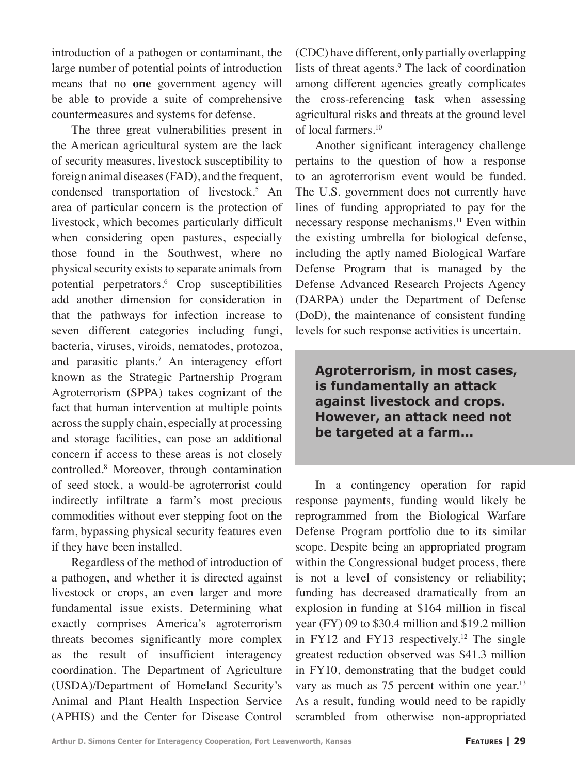introduction of a pathogen or contaminant, the large number of potential points of introduction means that no **one** government agency will be able to provide a suite of comprehensive countermeasures and systems for defense.

The three great vulnerabilities present in the American agricultural system are the lack of security measures, livestock susceptibility to foreign animal diseases (FAD), and the frequent, condensed transportation of livestock.<sup>5</sup> An area of particular concern is the protection of livestock, which becomes particularly difficult when considering open pastures, especially those found in the Southwest, where no physical security exists to separate animals from potential perpetrators.<sup>6</sup> Crop susceptibilities add another dimension for consideration in that the pathways for infection increase to seven different categories including fungi, bacteria, viruses, viroids, nematodes, protozoa, and parasitic plants.<sup>7</sup> An interagency effort known as the Strategic Partnership Program Agroterrorism (SPPA) takes cognizant of the fact that human intervention at multiple points across the supply chain, especially at processing and storage facilities, can pose an additional concern if access to these areas is not closely controlled.8 Moreover, through contamination of seed stock, a would-be agroterrorist could indirectly infiltrate a farm's most precious commodities without ever stepping foot on the farm, bypassing physical security features even if they have been installed.

Regardless of the method of introduction of a pathogen, and whether it is directed against livestock or crops, an even larger and more fundamental issue exists. Determining what exactly comprises America's agroterrorism threats becomes significantly more complex as the result of insufficient interagency coordination. The Department of Agriculture (USDA)/Department of Homeland Security's Animal and Plant Health Inspection Service (APHIS) and the Center for Disease Control

(CDC) have different, only partially overlapping lists of threat agents.<sup>9</sup> The lack of coordination among different agencies greatly complicates the cross-referencing task when assessing agricultural risks and threats at the ground level of local farmers.<sup>10</sup>

Another significant interagency challenge pertains to the question of how a response to an agroterrorism event would be funded. The U.S. government does not currently have lines of funding appropriated to pay for the necessary response mechanisms.<sup>11</sup> Even within the existing umbrella for biological defense, including the aptly named Biological Warfare Defense Program that is managed by the Defense Advanced Research Projects Agency (DARPA) under the Department of Defense (DoD), the maintenance of consistent funding levels for such response activities is uncertain.

**Agroterrorism, in most cases, is fundamentally an attack against livestock and crops. However, an attack need not be targeted at a farm...**

In a contingency operation for rapid response payments, funding would likely be reprogrammed from the Biological Warfare Defense Program portfolio due to its similar scope. Despite being an appropriated program within the Congressional budget process, there is not a level of consistency or reliability; funding has decreased dramatically from an explosion in funding at \$164 million in fiscal year (FY) 09 to \$30.4 million and \$19.2 million in FY12 and FY13 respectively.<sup>12</sup> The single greatest reduction observed was \$41.3 million in FY10, demonstrating that the budget could vary as much as 75 percent within one year.<sup>13</sup> As a result, funding would need to be rapidly scrambled from otherwise non-appropriated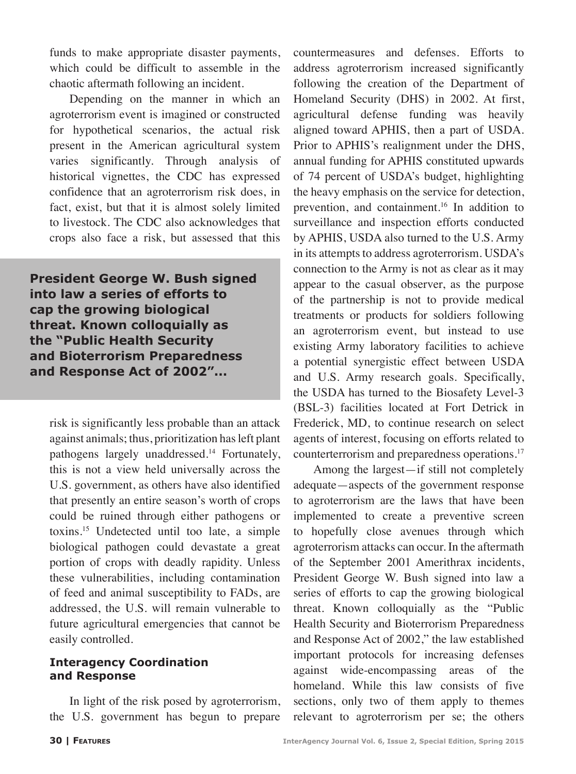funds to make appropriate disaster payments, which could be difficult to assemble in the chaotic aftermath following an incident.

Depending on the manner in which an agroterrorism event is imagined or constructed for hypothetical scenarios, the actual risk present in the American agricultural system varies significantly. Through analysis of historical vignettes, the CDC has expressed confidence that an agroterrorism risk does, in fact, exist, but that it is almost solely limited to livestock. The CDC also acknowledges that crops also face a risk, but assessed that this

**President George W. Bush signed into law a series of efforts to cap the growing biological threat. Known colloquially as the "Public Health Security and Bioterrorism Preparedness and Response Act of 2002"...**

risk is significantly less probable than an attack against animals; thus, prioritization has left plant pathogens largely unaddressed.<sup>14</sup> Fortunately, this is not a view held universally across the U.S. government, as others have also identified that presently an entire season's worth of crops could be ruined through either pathogens or toxins.15 Undetected until too late, a simple biological pathogen could devastate a great portion of crops with deadly rapidity. Unless these vulnerabilities, including contamination of feed and animal susceptibility to FADs, are addressed, the U.S. will remain vulnerable to future agricultural emergencies that cannot be easily controlled.

#### **Interagency Coordination and Response**

In light of the risk posed by agroterrorism, the U.S. government has begun to prepare

countermeasures and defenses. Efforts to address agroterrorism increased significantly following the creation of the Department of Homeland Security (DHS) in 2002. At first, agricultural defense funding was heavily aligned toward APHIS, then a part of USDA. Prior to APHIS's realignment under the DHS, annual funding for APHIS constituted upwards of 74 percent of USDA's budget, highlighting the heavy emphasis on the service for detection, prevention, and containment.<sup>16</sup> In addition to surveillance and inspection efforts conducted by APHIS, USDA also turned to the U.S. Army in its attempts to address agroterrorism. USDA's connection to the Army is not as clear as it may appear to the casual observer, as the purpose of the partnership is not to provide medical treatments or products for soldiers following an agroterrorism event, but instead to use existing Army laboratory facilities to achieve a potential synergistic effect between USDA and U.S. Army research goals. Specifically, the USDA has turned to the Biosafety Level-3 (BSL-3) facilities located at Fort Detrick in Frederick, MD, to continue research on select agents of interest, focusing on efforts related to counterterrorism and preparedness operations.<sup>17</sup>

Among the largest—if still not completely adequate—aspects of the government response to agroterrorism are the laws that have been implemented to create a preventive screen to hopefully close avenues through which agroterrorism attacks can occur. In the aftermath of the September 2001 Amerithrax incidents, President George W. Bush signed into law a series of efforts to cap the growing biological threat. Known colloquially as the "Public Health Security and Bioterrorism Preparedness and Response Act of 2002," the law established important protocols for increasing defenses against wide-encompassing areas of the homeland. While this law consists of five sections, only two of them apply to themes relevant to agroterrorism per se; the others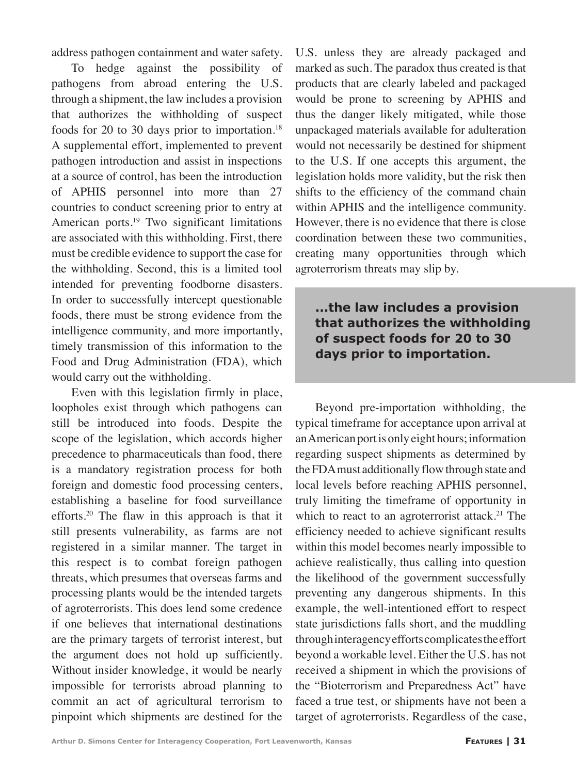address pathogen containment and water safety.

To hedge against the possibility of pathogens from abroad entering the U.S. through a shipment, the law includes a provision that authorizes the withholding of suspect foods for 20 to 30 days prior to importation.<sup>18</sup> A supplemental effort, implemented to prevent pathogen introduction and assist in inspections at a source of control, has been the introduction of APHIS personnel into more than 27 countries to conduct screening prior to entry at American ports.<sup>19</sup> Two significant limitations are associated with this withholding. First, there must be credible evidence to support the case for the withholding. Second, this is a limited tool intended for preventing foodborne disasters. In order to successfully intercept questionable foods, there must be strong evidence from the intelligence community, and more importantly, timely transmission of this information to the Food and Drug Administration (FDA), which would carry out the withholding.

Even with this legislation firmly in place, loopholes exist through which pathogens can still be introduced into foods. Despite the scope of the legislation, which accords higher precedence to pharmaceuticals than food, there is a mandatory registration process for both foreign and domestic food processing centers, establishing a baseline for food surveillance efforts.<sup>20</sup> The flaw in this approach is that it still presents vulnerability, as farms are not registered in a similar manner. The target in this respect is to combat foreign pathogen threats, which presumes that overseas farms and processing plants would be the intended targets of agroterrorists. This does lend some credence if one believes that international destinations are the primary targets of terrorist interest, but the argument does not hold up sufficiently. Without insider knowledge, it would be nearly impossible for terrorists abroad planning to commit an act of agricultural terrorism to pinpoint which shipments are destined for the

U.S. unless they are already packaged and marked as such. The paradox thus created is that products that are clearly labeled and packaged would be prone to screening by APHIS and thus the danger likely mitigated, while those unpackaged materials available for adulteration would not necessarily be destined for shipment to the U.S. If one accepts this argument, the legislation holds more validity, but the risk then shifts to the efficiency of the command chain within APHIS and the intelligence community. However, there is no evidence that there is close coordination between these two communities, creating many opportunities through which agroterrorism threats may slip by.

**...the law includes a provision that authorizes the withholding of suspect foods for 20 to 30 days prior to importation.**

Beyond pre-importation withholding, the typical timeframe for acceptance upon arrival at an American port is only eight hours; information regarding suspect shipments as determined by the FDA must additionally flow through state and local levels before reaching APHIS personnel, truly limiting the timeframe of opportunity in which to react to an agroterrorist attack.<sup>21</sup> The efficiency needed to achieve significant results within this model becomes nearly impossible to achieve realistically, thus calling into question the likelihood of the government successfully preventing any dangerous shipments. In this example, the well-intentioned effort to respect state jurisdictions falls short, and the muddling through interagency efforts complicates the effort beyond a workable level. Either the U.S. has not received a shipment in which the provisions of the "Bioterrorism and Preparedness Act" have faced a true test, or shipments have not been a target of agroterrorists. Regardless of the case,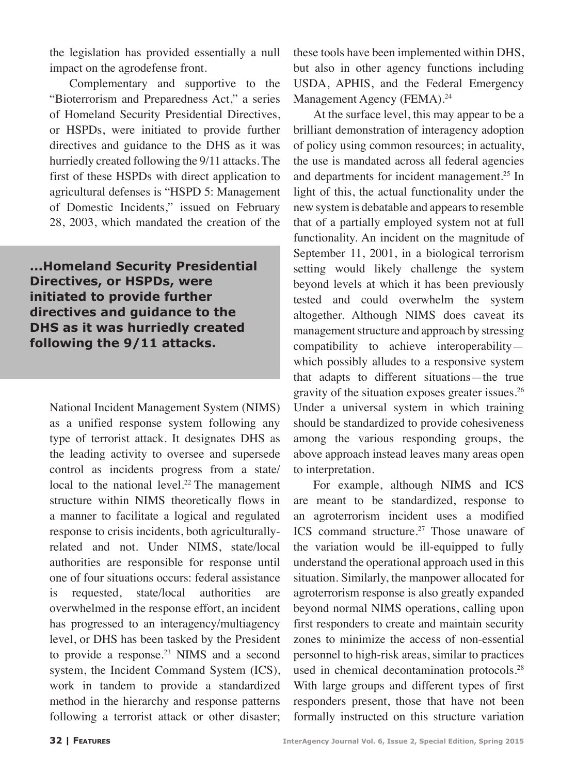the legislation has provided essentially a null impact on the agrodefense front.

Complementary and supportive to the "Bioterrorism and Preparedness Act," a series of Homeland Security Presidential Directives, or HSPDs, were initiated to provide further directives and guidance to the DHS as it was hurriedly created following the 9/11 attacks. The first of these HSPDs with direct application to agricultural defenses is "HSPD 5: Management of Domestic Incidents," issued on February 28, 2003, which mandated the creation of the

**...Homeland Security Presidential Directives, or HSPDs, were initiated to provide further directives and guidance to the DHS as it was hurriedly created following the 9/11 attacks.** 

National Incident Management System (NIMS) as a unified response system following any type of terrorist attack. It designates DHS as the leading activity to oversee and supersede control as incidents progress from a state/ local to the national level.<sup>22</sup> The management structure within NIMS theoretically flows in a manner to facilitate a logical and regulated response to crisis incidents, both agriculturallyrelated and not. Under NIMS, state/local authorities are responsible for response until one of four situations occurs: federal assistance is requested, state/local authorities are overwhelmed in the response effort, an incident has progressed to an interagency/multiagency level, or DHS has been tasked by the President to provide a response.<sup>23</sup> NIMS and a second system, the Incident Command System (ICS), work in tandem to provide a standardized method in the hierarchy and response patterns following a terrorist attack or other disaster;

these tools have been implemented within DHS, but also in other agency functions including USDA, APHIS, and the Federal Emergency Management Agency (FEMA).<sup>24</sup>

At the surface level, this may appear to be a brilliant demonstration of interagency adoption of policy using common resources; in actuality, the use is mandated across all federal agencies and departments for incident management.<sup>25</sup> In light of this, the actual functionality under the new system is debatable and appears to resemble that of a partially employed system not at full functionality. An incident on the magnitude of September 11, 2001, in a biological terrorism setting would likely challenge the system beyond levels at which it has been previously tested and could overwhelm the system altogether. Although NIMS does caveat its management structure and approach by stressing compatibility to achieve interoperability which possibly alludes to a responsive system that adapts to different situations—the true gravity of the situation exposes greater issues.<sup>26</sup> Under a universal system in which training should be standardized to provide cohesiveness among the various responding groups, the above approach instead leaves many areas open to interpretation.

For example, although NIMS and ICS are meant to be standardized, response to an agroterrorism incident uses a modified ICS command structure.<sup>27</sup> Those unaware of the variation would be ill-equipped to fully understand the operational approach used in this situation. Similarly, the manpower allocated for agroterrorism response is also greatly expanded beyond normal NIMS operations, calling upon first responders to create and maintain security zones to minimize the access of non-essential personnel to high-risk areas, similar to practices used in chemical decontamination protocols.<sup>28</sup> With large groups and different types of first responders present, those that have not been formally instructed on this structure variation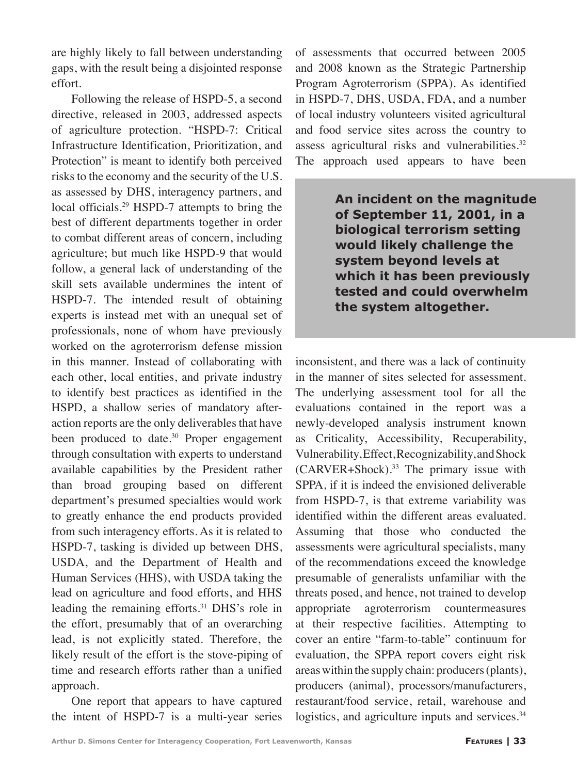are highly likely to fall between understanding gaps, with the result being a disjointed response effort.

Following the release of HSPD-5, a second directive, released in 2003, addressed aspects of agriculture protection. "HSPD-7: Critical Infrastructure Identification, Prioritization, and Protection" is meant to identify both perceived risks to the economy and the security of the U.S. as assessed by DHS, interagency partners, and local officials.<sup>29</sup> HSPD-7 attempts to bring the best of different departments together in order to combat different areas of concern, including agriculture; but much like HSPD-9 that would follow, a general lack of understanding of the skill sets available undermines the intent of HSPD-7. The intended result of obtaining experts is instead met with an unequal set of professionals, none of whom have previously worked on the agroterrorism defense mission in this manner. Instead of collaborating with each other, local entities, and private industry to identify best practices as identified in the HSPD, a shallow series of mandatory afteraction reports are the only deliverables that have been produced to date. $30$  Proper engagement through consultation with experts to understand available capabilities by the President rather than broad grouping based on different department's presumed specialties would work to greatly enhance the end products provided from such interagency efforts. As it is related to HSPD-7, tasking is divided up between DHS, USDA, and the Department of Health and Human Services (HHS), with USDA taking the lead on agriculture and food efforts, and HHS leading the remaining efforts.<sup>31</sup> DHS's role in the effort, presumably that of an overarching lead, is not explicitly stated. Therefore, the likely result of the effort is the stove-piping of time and research efforts rather than a unified approach.

One report that appears to have captured the intent of HSPD-7 is a multi-year series of assessments that occurred between 2005 and 2008 known as the Strategic Partnership Program Agroterrorism (SPPA). As identified in HSPD-7, DHS, USDA, FDA, and a number of local industry volunteers visited agricultural and food service sites across the country to assess agricultural risks and vulnerabilities.<sup>32</sup> The approach used appears to have been

> **An incident on the magnitude of September 11, 2001, in a biological terrorism setting would likely challenge the system beyond levels at which it has been previously tested and could overwhelm the system altogether.**

inconsistent, and there was a lack of continuity in the manner of sites selected for assessment. The underlying assessment tool for all the evaluations contained in the report was a newly-developed analysis instrument known as Criticality, Accessibility, Recuperability, Vulnerability, Effect, Recognizability, and Shock  $(CARVER+Shock).$ <sup>33</sup> The primary issue with SPPA, if it is indeed the envisioned deliverable from HSPD-7, is that extreme variability was identified within the different areas evaluated. Assuming that those who conducted the assessments were agricultural specialists, many of the recommendations exceed the knowledge presumable of generalists unfamiliar with the threats posed, and hence, not trained to develop appropriate agroterrorism countermeasures at their respective facilities. Attempting to cover an entire "farm-to-table" continuum for evaluation, the SPPA report covers eight risk areas within the supply chain: producers (plants), producers (animal), processors/manufacturers, restaurant/food service, retail, warehouse and logistics, and agriculture inputs and services.<sup>34</sup>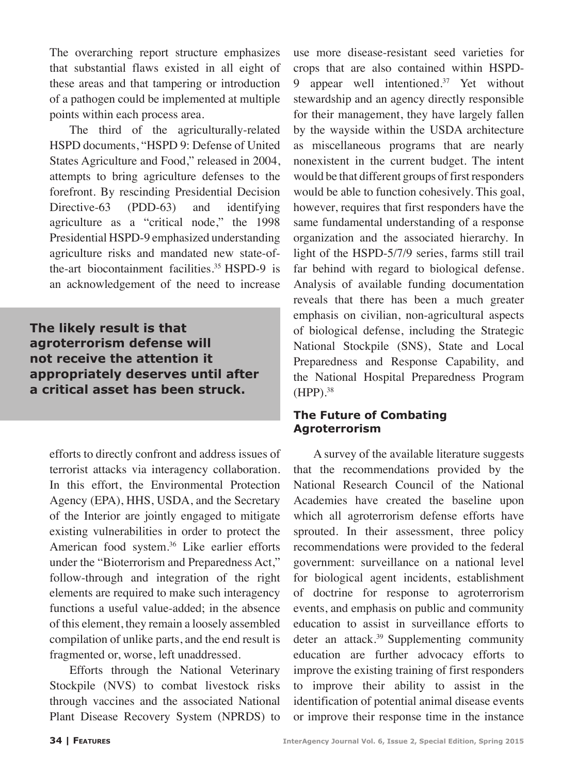The overarching report structure emphasizes that substantial flaws existed in all eight of these areas and that tampering or introduction of a pathogen could be implemented at multiple points within each process area.

The third of the agriculturally-related HSPD documents, "HSPD 9: Defense of United States Agriculture and Food," released in 2004, attempts to bring agriculture defenses to the forefront. By rescinding Presidential Decision Directive-63 (PDD-63) and identifying agriculture as a "critical node," the 1998 Presidential HSPD-9 emphasized understanding agriculture risks and mandated new state-ofthe-art biocontainment facilities.<sup>35</sup> HSPD-9 is an acknowledgement of the need to increase

**The likely result is that agroterrorism defense will not receive the attention it appropriately deserves until after a critical asset has been struck.**

efforts to directly confront and address issues of terrorist attacks via interagency collaboration. In this effort, the Environmental Protection Agency (EPA), HHS, USDA, and the Secretary of the Interior are jointly engaged to mitigate existing vulnerabilities in order to protect the American food system.<sup>36</sup> Like earlier efforts under the "Bioterrorism and Preparedness Act," follow-through and integration of the right elements are required to make such interagency functions a useful value-added; in the absence of this element, they remain a loosely assembled compilation of unlike parts, and the end result is fragmented or, worse, left unaddressed.

Efforts through the National Veterinary Stockpile (NVS) to combat livestock risks through vaccines and the associated National Plant Disease Recovery System (NPRDS) to

use more disease-resistant seed varieties for crops that are also contained within HSPD-9 appear well intentioned. $37$  Yet without stewardship and an agency directly responsible for their management, they have largely fallen by the wayside within the USDA architecture as miscellaneous programs that are nearly nonexistent in the current budget. The intent would be that different groups of first responders would be able to function cohesively. This goal, however, requires that first responders have the same fundamental understanding of a response organization and the associated hierarchy. In light of the HSPD-5/7/9 series, farms still trail far behind with regard to biological defense. Analysis of available funding documentation reveals that there has been a much greater emphasis on civilian, non-agricultural aspects of biological defense, including the Strategic National Stockpile (SNS), State and Local Preparedness and Response Capability, and the National Hospital Preparedness Program  $(HPP).$ <sup>38</sup>

#### **The Future of Combating Agroterrorism**

A survey of the available literature suggests that the recommendations provided by the National Research Council of the National Academies have created the baseline upon which all agroterrorism defense efforts have sprouted. In their assessment, three policy recommendations were provided to the federal government: surveillance on a national level for biological agent incidents, establishment of doctrine for response to agroterrorism events, and emphasis on public and community education to assist in surveillance efforts to deter an attack.<sup>39</sup> Supplementing community education are further advocacy efforts to improve the existing training of first responders to improve their ability to assist in the identification of potential animal disease events or improve their response time in the instance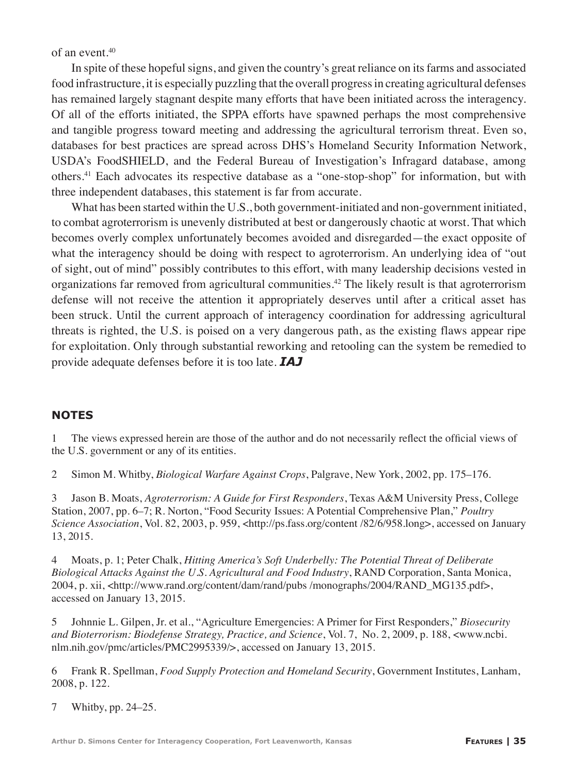of an event.40

In spite of these hopeful signs, and given the country's great reliance on its farms and associated food infrastructure, it is especially puzzling that the overall progress in creating agricultural defenses has remained largely stagnant despite many efforts that have been initiated across the interagency. Of all of the efforts initiated, the SPPA efforts have spawned perhaps the most comprehensive and tangible progress toward meeting and addressing the agricultural terrorism threat. Even so, databases for best practices are spread across DHS's Homeland Security Information Network, USDA's FoodSHIELD, and the Federal Bureau of Investigation's Infragard database, among others.<sup>41</sup> Each advocates its respective database as a "one-stop-shop" for information, but with three independent databases, this statement is far from accurate.

What has been started within the U.S., both government-initiated and non-government initiated, to combat agroterrorism is unevenly distributed at best or dangerously chaotic at worst. That which becomes overly complex unfortunately becomes avoided and disregarded—the exact opposite of what the interagency should be doing with respect to agroterrorism. An underlying idea of "out of sight, out of mind" possibly contributes to this effort, with many leadership decisions vested in organizations far removed from agricultural communities.<sup>42</sup> The likely result is that agroterrorism defense will not receive the attention it appropriately deserves until after a critical asset has been struck. Until the current approach of interagency coordination for addressing agricultural threats is righted, the U.S. is poised on a very dangerous path, as the existing flaws appear ripe for exploitation. Only through substantial reworking and retooling can the system be remedied to provide adequate defenses before it is too late. *IAJ*

#### **NOTES**

1 The views expressed herein are those of the author and do not necessarily reflect the official views of the U.S. government or any of its entities.

2 Simon M. Whitby, *Biological Warfare Against Crops*, Palgrave, New York, 2002, pp. 175–176.

3 Jason B. Moats, *Agroterrorism: A Guide for First Responders*, Texas A&M University Press, College Station, 2007, pp. 6–7; R. Norton, "Food Security Issues: A Potential Comprehensive Plan," *Poultry Science Association*, Vol. 82, 2003, p. 959, <http://ps.fass.org/content /82/6/958.long>, accessed on January 13, 2015.

4 Moats, p. 1; Peter Chalk, *Hitting America's Soft Underbelly: The Potential Threat of Deliberate Biological Attacks Against the U.S. Agricultural and Food Industry*, RAND Corporation, Santa Monica, 2004, p. xii, <http://www.rand.org/content/dam/rand/pubs /monographs/2004/RAND\_MG135.pdf>, accessed on January 13, 2015.

5 Johnnie L. Gilpen, Jr. et al., "Agriculture Emergencies: A Primer for First Responders," *Biosecurity and Bioterrorism: Biodefense Strategy, Practice, and Science*, Vol. 7, No. 2, 2009, p. 188, <www.ncbi. nlm.nih.gov/pmc/articles/PMC2995339/>, accessed on January 13, 2015.

6 Frank R. Spellman, *Food Supply Protection and Homeland Security*, Government Institutes, Lanham, 2008, p. 122.

7 Whitby, pp. 24–25.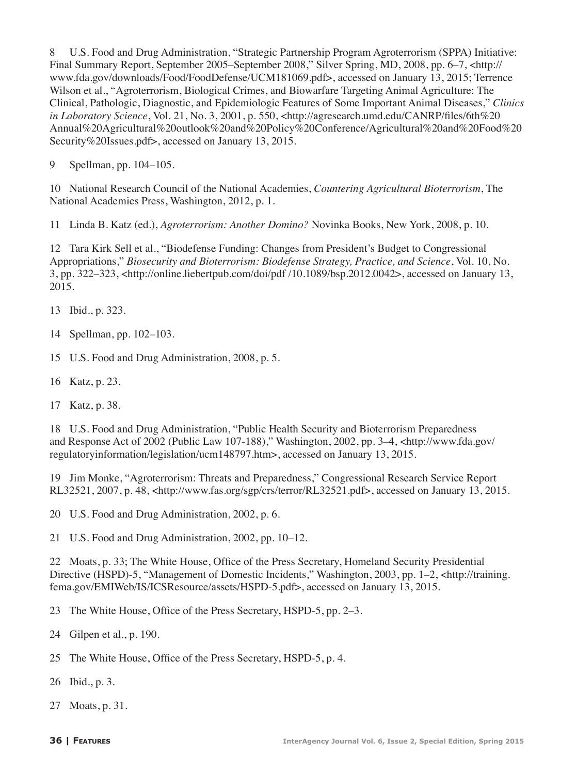8 U.S. Food and Drug Administration, "Strategic Partnership Program Agroterrorism (SPPA) Initiative: Final Summary Report, September 2005–September 2008," Silver Spring, MD, 2008, pp. 6–7, <http:// www.fda.gov/downloads/Food/FoodDefense/UCM181069.pdf>, accessed on January 13, 2015; Terrence Wilson et al., "Agroterrorism, Biological Crimes, and Biowarfare Targeting Animal Agriculture: The Clinical, Pathologic, Diagnostic, and Epidemiologic Features of Some Important Animal Diseases," *Clinics in Laboratory Science*, Vol. 21, No. 3, 2001, p. 550, <http://agresearch.umd.edu/CANRP/files/6th%20 Annual%20Agricultural%20outlook%20and%20Policy%20Conference/Agricultural%20and%20Food%20 Security%20Issues.pdf>, accessed on January 13, 2015.

9 Spellman, pp. 104–105.

10 National Research Council of the National Academies, *Countering Agricultural Bioterrorism*, The National Academies Press, Washington, 2012, p. 1.

11 Linda B. Katz (ed.), *Agroterrorism: Another Domino?* Novinka Books, New York, 2008, p. 10.

12 Tara Kirk Sell et al., "Biodefense Funding: Changes from President's Budget to Congressional Appropriations," *Biosecurity and Bioterrorism: Biodefense Strategy, Practice, and Science*, Vol. 10, No. 3, pp. 322–323, <http://online.liebertpub.com/doi/pdf /10.1089/bsp.2012.0042>, accessed on January 13, 2015.

13 Ibid., p. 323.

14 Spellman, pp. 102–103.

15 U.S. Food and Drug Administration, 2008, p. 5.

16 Katz, p. 23.

17 Katz, p. 38.

18 U.S. Food and Drug Administration, "Public Health Security and Bioterrorism Preparedness and Response Act of 2002 (Public Law 107-188)," Washington, 2002, pp. 3–4, <http://www.fda.gov/ regulatoryinformation/legislation/ucm148797.htm>, accessed on January 13, 2015.

19 Jim Monke, "Agroterrorism: Threats and Preparedness," Congressional Research Service Report RL32521, 2007, p. 48, <http://www.fas.org/sgp/crs/terror/RL32521.pdf>, accessed on January 13, 2015.

20 U.S. Food and Drug Administration, 2002, p. 6.

21 U.S. Food and Drug Administration, 2002, pp. 10–12.

22 Moats, p. 33; The White House, Office of the Press Secretary, Homeland Security Presidential Directive (HSPD)-5, "Management of Domestic Incidents," Washington, 2003, pp. 1–2, <http://training. fema.gov/EMIWeb/IS/ICSResource/assets/HSPD-5.pdf>, accessed on January 13, 2015.

23 The White House, Office of the Press Secretary, HSPD-5, pp. 2–3.

24 Gilpen et al., p. 190.

25 The White House, Office of the Press Secretary, HSPD-5, p. 4.

26 Ibid., p. 3.

27 Moats, p. 31.